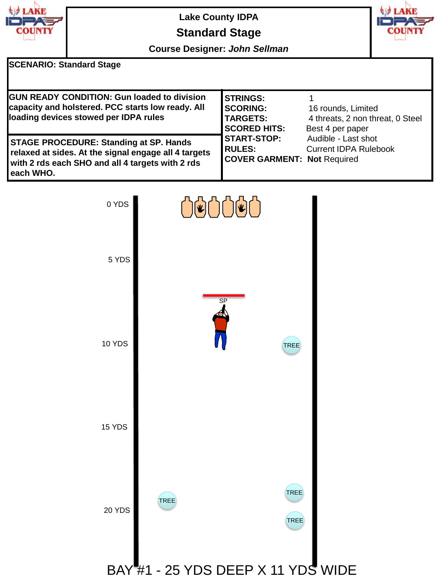

## **Lake County IDPA Standard Stage**



**Course Designer:** *John Sellman*

## **SCENARIO: Standard Stage**

| <b>GUN READY CONDITION: Gun loaded to division</b><br>capacity and holstered. PCC starts low ready. All<br>loading devices stowed per IDPA rules                         | <b>STRINGS:</b><br><b>SCORING:</b><br><b>TARGETS:</b><br><b>SCORED HITS:</b> | 16 rounds, Limited<br>4 threats, 2 non threat, 0 Steel<br>Best 4 per paper |
|--------------------------------------------------------------------------------------------------------------------------------------------------------------------------|------------------------------------------------------------------------------|----------------------------------------------------------------------------|
| <b>STAGE PROCEDURE: Standing at SP. Hands</b><br>relaxed at sides. At the signal engage all 4 targets<br>with 2 rds each SHO and all 4 targets with 2 rds<br>l each WHO. | <b>START-STOP:</b><br><b>IRULES:</b><br><b>COVER GARMENT: Not Required</b>   | Audible - Last shot<br><b>Current IDPA Rulebook</b>                        |

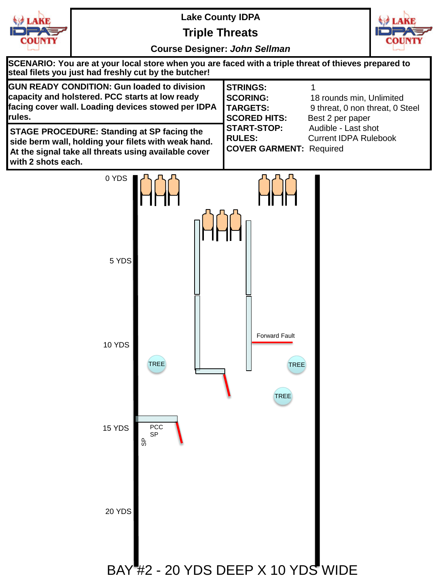

**Triple Threats**



| SCENARIO: You are at your local store when you are faced with a triple threat of thieves prepared to<br>steal filets you just had freshly cut by the butcher!                          |                                                                              |                                                                                 |  |
|----------------------------------------------------------------------------------------------------------------------------------------------------------------------------------------|------------------------------------------------------------------------------|---------------------------------------------------------------------------------|--|
| <b>GUN READY CONDITION: Gun loaded to division</b><br>capacity and holstered. PCC starts at low ready<br>facing cover wall. Loading devices stowed per IDPA<br>rules.                  | <b>STRINGS:</b><br><b>SCORING:</b><br><b>TARGETS:</b><br><b>SCORED HITS:</b> | 18 rounds min, Unlimited<br>9 threat, 0 non threat, 0 Steel<br>Best 2 per paper |  |
| <b>STAGE PROCEDURE: Standing at SP facing the</b><br>side berm wall, holding your filets with weak hand.<br>At the signal take all threats using available cover<br>with 2 shots each. | <b>START-STOP:</b><br><b>RULES:</b><br><b>COVER GARMENT: Required</b>        | Audible - Last shot<br><b>Current IDPA Rulebook</b>                             |  |

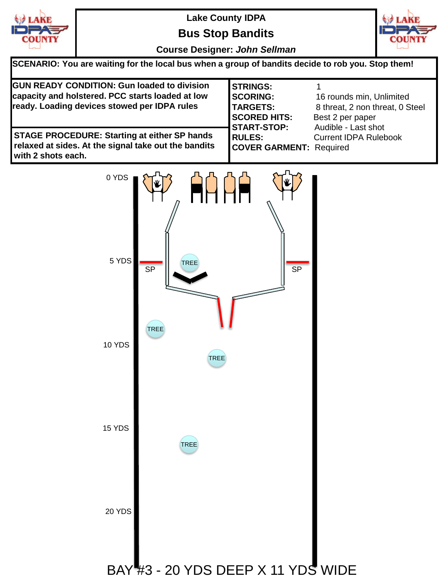

**Bus Stop Bandits**



| SCENARIO: You are waiting for the local bus when a group of bandits decide to rob you. Stop them!                                                      |                                                                              |                                                                                 |
|--------------------------------------------------------------------------------------------------------------------------------------------------------|------------------------------------------------------------------------------|---------------------------------------------------------------------------------|
| <b>GUN READY CONDITION: Gun loaded to division</b><br>capacity and holstered. PCC starts loaded at low<br>ready. Loading devices stowed per IDPA rules | <b>STRINGS:</b><br><b>SCORING:</b><br><b>TARGETS:</b><br><b>SCORED HITS:</b> | 16 rounds min, Unlimited<br>8 threat, 2 non threat, 0 Steel<br>Best 2 per paper |
| <b>STAGE PROCEDURE: Starting at either SP hands</b><br>relaxed at sides. At the signal take out the bandits<br>with 2 shots each.                      | <b>START-STOP:</b><br><b>RULES:</b><br><b>COVER GARMENT: Required</b>        | Audible - Last shot<br><b>Current IDPA Rulebook</b>                             |

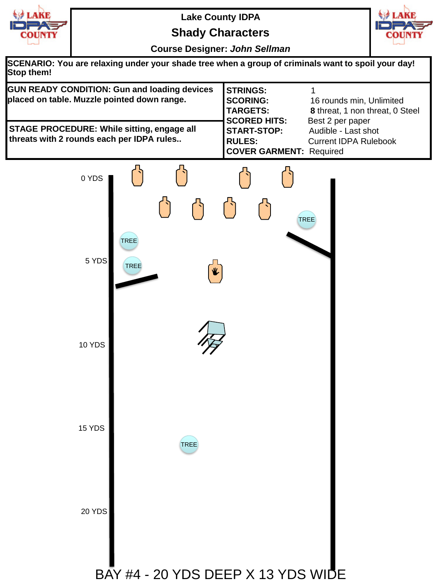

**Shady Characters**



| SCENARIO: You are relaxing under your shade tree when a group of criminals want to spoil your day!<br>Stop them! |  |
|------------------------------------------------------------------------------------------------------------------|--|
|                                                                                                                  |  |

| <b>GUN READY CONDITION: Gun and loading devices</b>                                            | <b>STRINGS:</b>                |                                 |
|------------------------------------------------------------------------------------------------|--------------------------------|---------------------------------|
| placed on table. Muzzle pointed down range.                                                    | <b>SCORING:</b>                | 16 rounds min, Unlimited        |
|                                                                                                | <b>TARGETS:</b>                | 8 threat, 1 non threat, 0 Steel |
|                                                                                                | <b>SCORED HITS:</b>            | Best 2 per paper                |
| <b>STAGE PROCEDURE: While sitting, engage all</b><br>threats with 2 rounds each per IDPA rules | <b>START-STOP:</b>             | Audible - Last shot             |
|                                                                                                | <b>RULES:</b>                  | <b>Current IDPA Rulebook</b>    |
|                                                                                                | <b>COVER GARMENT: Required</b> |                                 |

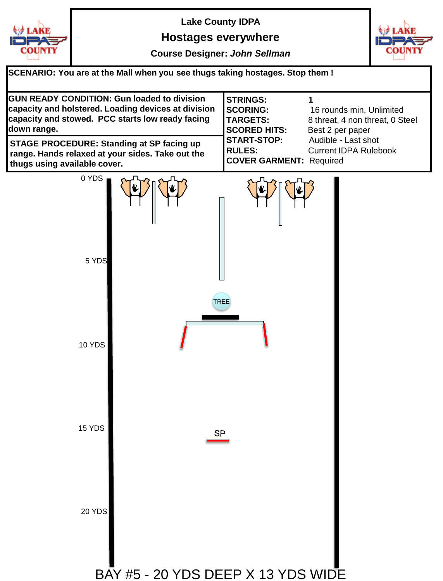

## **Hostages everywhere**



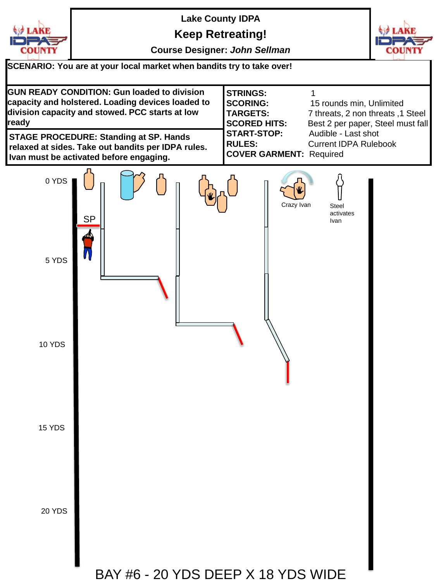